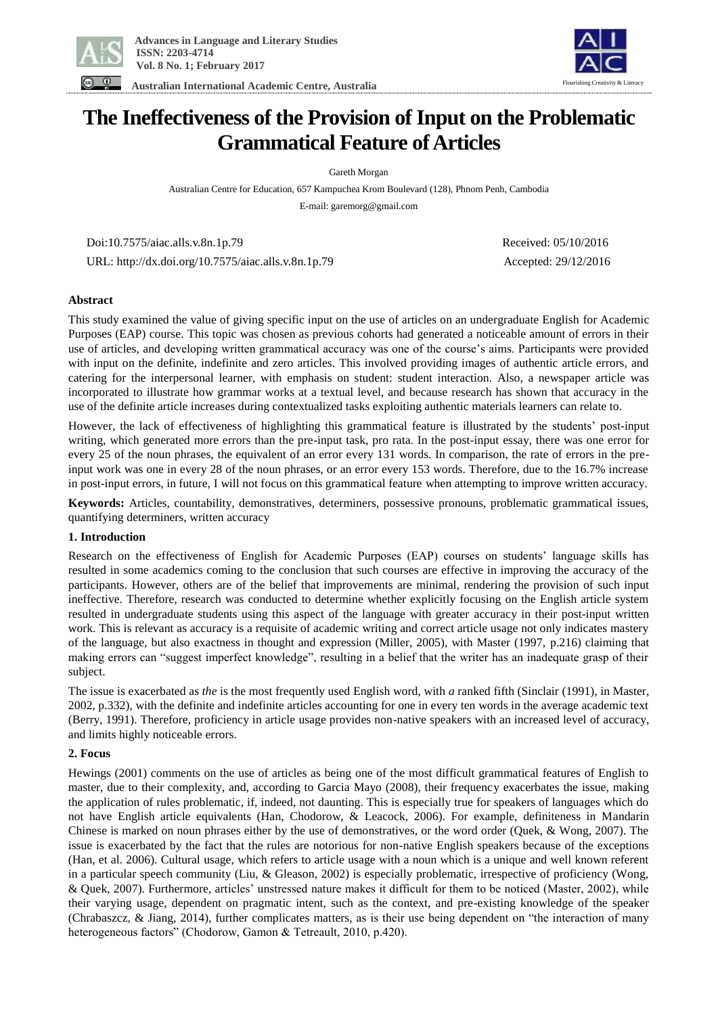

 **Australian International Academic Centre, Australia** 



# **The Ineffectiveness of the Provision of Input on the Problematic Grammatical Feature of Articles**

Gareth Morgan

Australian Centre for Education, 657 Kampuchea Krom Boulevard (128), Phnom Penh, Cambodia E-mail: garemorg@gmail.com

 Doi:10.7575/aiac.alls.v.8n.1p.79 Received: 05/10/2016 URL: http://dx.doi.org/10.7575/aiac.alls.v.8n.1p.79 Accepted: 29/12/2016

# **Abstract**

This study examined the value of giving specific input on the use of articles on an undergraduate English for Academic Purposes (EAP) course. This topic was chosen as previous cohorts had generated a noticeable amount of errors in their use of articles, and developing written grammatical accuracy was one of the course's aims. Participants were provided with input on the definite, indefinite and zero articles. This involved providing images of authentic article errors, and catering for the interpersonal learner, with emphasis on student: student interaction. Also, a newspaper article was incorporated to illustrate how grammar works at a textual level, and because research has shown that accuracy in the use of the definite article increases during contextualized tasks exploiting authentic materials learners can relate to.

However, the lack of effectiveness of highlighting this grammatical feature is illustrated by the students' post-input writing, which generated more errors than the pre-input task, pro rata. In the post-input essay, there was one error for every 25 of the noun phrases, the equivalent of an error every 131 words. In comparison, the rate of errors in the preinput work was one in every 28 of the noun phrases, or an error every 153 words. Therefore, due to the 16.7% increase in post-input errors, in future, I will not focus on this grammatical feature when attempting to improve written accuracy.

**Keywords:** Articles, countability, demonstratives, determiners, possessive pronouns, problematic grammatical issues, quantifying determiners, written accuracy

# **1. Introduction**

Research on the effectiveness of English for Academic Purposes (EAP) courses on students' language skills has resulted in some academics coming to the conclusion that such courses are effective in improving the accuracy of the participants. However, others are of the belief that improvements are minimal, rendering the provision of such input ineffective. Therefore, research was conducted to determine whether explicitly focusing on the English article system resulted in undergraduate students using this aspect of the language with greater accuracy in their post-input written work. This is relevant as accuracy is a requisite of academic writing and correct article usage not only indicates mastery of the language, but also exactness in thought and expression (Miller, 2005), with Master (1997, p.216) claiming that making errors can "suggest imperfect knowledge", resulting in a belief that the writer has an inadequate grasp of their subject.

The issue is exacerbated as *the* is the most frequently used English word, with *a* ranked fifth (Sinclair (1991), in Master, 2002, p.332), with the definite and indefinite articles accounting for one in every ten words in the average academic text (Berry, 1991). Therefore, proficiency in article usage provides non-native speakers with an increased level of accuracy, and limits highly noticeable errors.

# **2. Focus**

Hewings (2001) comments on the use of articles as being one of the most difficult grammatical features of English to master, due to their complexity, and, according to Garcia Mayo (2008), their frequency exacerbates the issue, making the application of rules problematic, if, indeed, not daunting. This is especially true for speakers of languages which do not have English article equivalents (Han, Chodorow, & Leacock, 2006). For example, definiteness in Mandarin Chinese is marked on noun phrases either by the use of demonstratives, or the word order (Quek, & Wong, 2007). The issue is exacerbated by the fact that the rules are notorious for non-native English speakers because of the exceptions (Han, et al. 2006). Cultural usage, which refers to article usage with a noun which is a unique and well known referent in a particular speech community (Liu, & Gleason, 2002) is especially problematic, irrespective of proficiency (Wong, & Quek, 2007). Furthermore, articles' unstressed nature makes it difficult for them to be noticed (Master, 2002), while their varying usage, dependent on pragmatic intent, such as the context, and pre-existing knowledge of the speaker (Chrabaszcz, & Jiang, 2014), further complicates matters, as is their use being dependent on "the interaction of many heterogeneous factors" (Chodorow, Gamon & Tetreault, 2010, p.420).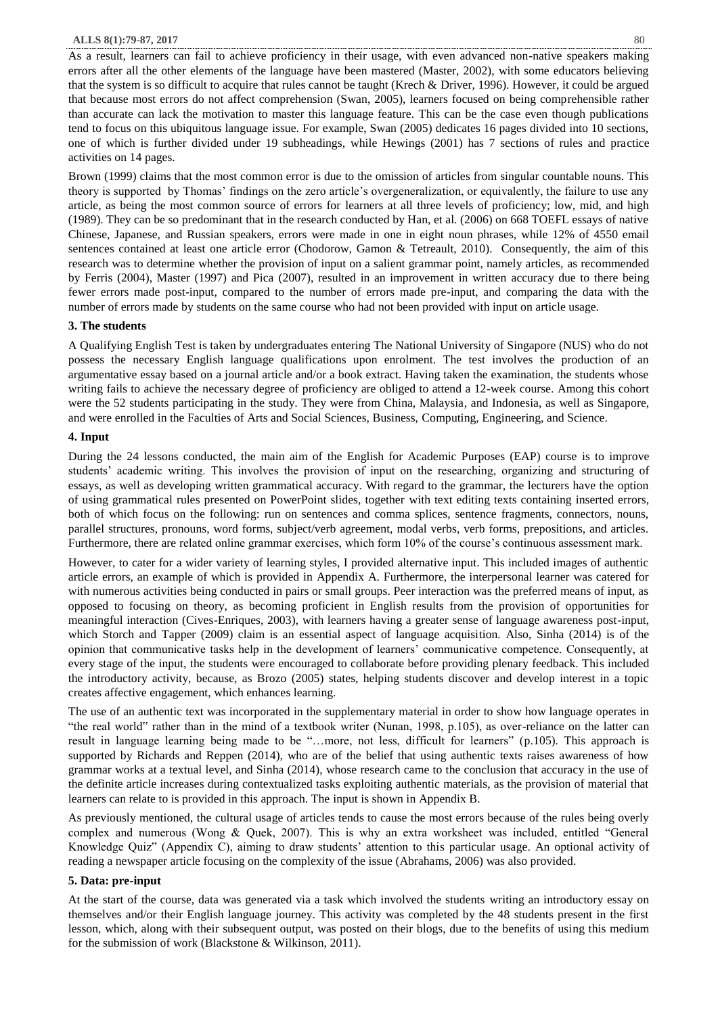#### **ALLS 8(1):79-87, 2017** 80

As a result, learners can fail to achieve proficiency in their usage, with even advanced non-native speakers making errors after all the other elements of the language have been mastered (Master, 2002), with some educators believing that the system is so difficult to acquire that rules cannot be taught (Krech & Driver, 1996). However, it could be argued that because most errors do not affect comprehension (Swan, 2005), learners focused on being comprehensible rather than accurate can lack the motivation to master this language feature. This can be the case even though publications tend to focus on this ubiquitous language issue. For example, Swan (2005) dedicates 16 pages divided into 10 sections, one of which is further divided under 19 subheadings, while Hewings (2001) has 7 sections of rules and practice activities on 14 pages.

Brown (1999) claims that the most common error is due to the omission of articles from singular countable nouns. This theory is supported by Thomas' findings on the zero article's overgeneralization, or equivalently, the failure to use any article, as being the most common source of errors for learners at all three levels of proficiency; low, mid, and high (1989). They can be so predominant that in the research conducted by Han, et al. (2006) on 668 TOEFL essays of native Chinese, Japanese, and Russian speakers, errors were made in one in eight noun phrases, while 12% of 4550 email sentences contained at least one article error (Chodorow, Gamon & Tetreault, 2010). Consequently, the aim of this research was to determine whether the provision of input on a salient grammar point, namely articles, as recommended by Ferris (2004), Master (1997) and Pica (2007), resulted in an improvement in written accuracy due to there being fewer errors made post-input, compared to the number of errors made pre-input, and comparing the data with the number of errors made by students on the same course who had not been provided with input on article usage.

### **3. The students**

A Qualifying English Test is taken by undergraduates entering The National University of Singapore (NUS) who do not possess the necessary English language qualifications upon enrolment. The test involves the production of an argumentative essay based on a journal article and/or a book extract. Having taken the examination, the students whose writing fails to achieve the necessary degree of proficiency are obliged to attend a 12-week course. Among this cohort were the 52 students participating in the study. They were from China, Malaysia, and Indonesia, as well as Singapore, and were enrolled in the Faculties of Arts and Social Sciences, Business, Computing, Engineering, and Science.

#### **4. Input**

During the 24 lessons conducted, the main aim of the English for Academic Purposes (EAP) course is to improve students' academic writing. This involves the provision of input on the researching, organizing and structuring of essays, as well as developing written grammatical accuracy. With regard to the grammar, the lecturers have the option of using grammatical rules presented on PowerPoint slides, together with text editing texts containing inserted errors, both of which focus on the following: run on sentences and comma splices, sentence fragments, connectors, nouns, parallel structures, pronouns, word forms, subject/verb agreement, modal verbs, verb forms, prepositions, and articles. Furthermore, there are related online grammar exercises, which form 10% of the course's continuous assessment mark.

However, to cater for a wider variety of learning styles, I provided alternative input. This included images of authentic article errors, an example of which is provided in Appendix A. Furthermore, the interpersonal learner was catered for with numerous activities being conducted in pairs or small groups. Peer interaction was the preferred means of input, as opposed to focusing on theory, as becoming proficient in English results from the provision of opportunities for meaningful interaction (Cives-Enriques, 2003), with learners having a greater sense of language awareness post-input, which Storch and Tapper (2009) claim is an essential aspect of language acquisition. Also, Sinha (2014) is of the opinion that communicative tasks help in the development of learners' communicative competence. Consequently, at every stage of the input, the students were encouraged to collaborate before providing plenary feedback. This included the introductory activity, because, as Brozo (2005) states, helping students discover and develop interest in a topic creates affective engagement, which enhances learning.

The use of an authentic text was incorporated in the supplementary material in order to show how language operates in "the real world" rather than in the mind of a textbook writer (Nunan, 1998, p.105), as over-reliance on the latter can result in language learning being made to be "…more, not less, difficult for learners" (p.105). This approach is supported by Richards and Reppen (2014), who are of the belief that using authentic texts raises awareness of how grammar works at a textual level, and Sinha (2014), whose research came to the conclusion that accuracy in the use of the definite article increases during contextualized tasks exploiting authentic materials, as the provision of material that learners can relate to is provided in this approach. The input is shown in Appendix B.

As previously mentioned, the cultural usage of articles tends to cause the most errors because of the rules being overly complex and numerous (Wong & Quek, 2007). This is why an extra worksheet was included, entitled "General Knowledge Quiz" (Appendix C), aiming to draw students' attention to this particular usage. An optional activity of reading a newspaper article focusing on the complexity of the issue (Abrahams, 2006) was also provided.

### **5. Data: pre-input**

At the start of the course, data was generated via a task which involved the students writing an introductory essay on themselves and/or their English language journey. This activity was completed by the 48 students present in the first lesson, which, along with their subsequent output, was posted on their blogs, due to the benefits of using this medium for the submission of work (Blackstone & Wilkinson, 2011).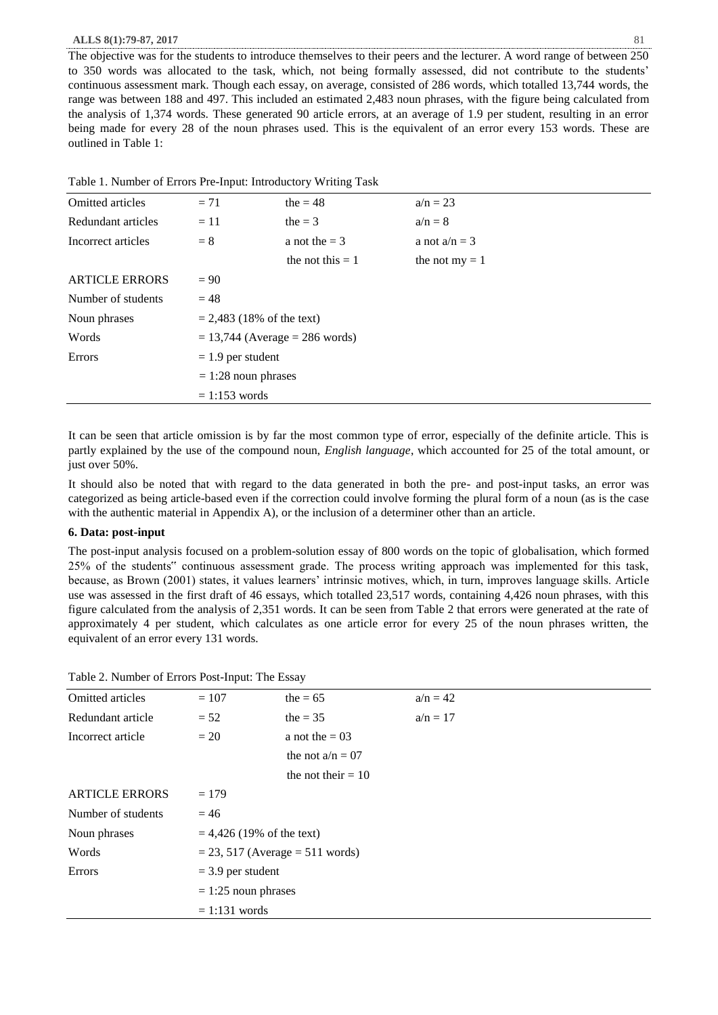#### **ALLS 8(1):79-87, 2017** 81

The objective was for the students to introduce themselves to their peers and the lecturer. A word range of between 250 to 350 words was allocated to the task, which, not being formally assessed, did not contribute to the students' continuous assessment mark. Though each essay, on average, consisted of 286 words, which totalled 13,744 words, the range was between 188 and 497. This included an estimated 2,483 noun phrases, with the figure being calculated from the analysis of 1,374 words. These generated 90 article errors, at an average of 1.9 per student, resulting in an error being made for every 28 of the noun phrases used. This is the equivalent of an error every 153 words. These are outlined in Table 1:

| <b>Omitted articles</b> | $= 71$                             | the $= 48$         | $a/n = 23$       |  |
|-------------------------|------------------------------------|--------------------|------------------|--|
| Redundant articles      | $=11$                              | the $=$ 3          | $a/n = 8$        |  |
| Incorrect articles      | $= 8$                              | a not the $=$ 3    | a not $a/n = 3$  |  |
|                         |                                    | the not this $= 1$ | the not $my = 1$ |  |
| <b>ARTICLE ERRORS</b>   | $= 90$                             |                    |                  |  |
| Number of students      | $= 48$                             |                    |                  |  |
| Noun phrases            | $= 2,483$ (18% of the text)        |                    |                  |  |
| Words                   | $= 13,744$ (Average $= 286$ words) |                    |                  |  |
| <b>Errors</b>           | $= 1.9$ per student                |                    |                  |  |
|                         | $= 1:28$ noun phrases              |                    |                  |  |
|                         | $= 1:153$ words                    |                    |                  |  |
|                         |                                    |                    |                  |  |

It can be seen that article omission is by far the most common type of error, especially of the definite article. This is partly explained by the use of the compound noun, *English language*, which accounted for 25 of the total amount, or just over 50%.

It should also be noted that with regard to the data generated in both the pre- and post-input tasks, an error was categorized as being article-based even if the correction could involve forming the plural form of a noun (as is the case with the authentic material in Appendix A), or the inclusion of a determiner other than an article.

## **6. Data: post-input**

The post-input analysis focused on a problem-solution essay of 800 words on the topic of globalisation, which formed 25% of the students" continuous assessment grade. The process writing approach was implemented for this task, because, as Brown (2001) states, it values learners' intrinsic motives, which, in turn, improves language skills. Article use was assessed in the first draft of 46 essays, which totalled 23,517 words, containing 4,426 noun phrases, with this figure calculated from the analysis of 2,351 words. It can be seen from Table 2 that errors were generated at the rate of approximately 4 per student, which calculates as one article error for every 25 of the noun phrases written, the equivalent of an error every 131 words.

|  |  |  | Table 2. Number of Errors Post-Input: The Essay |  |
|--|--|--|-------------------------------------------------|--|
|--|--|--|-------------------------------------------------|--|

| <b>Omitted articles</b> | $= 107$                             | the $= 65$           | $a/n = 42$ |
|-------------------------|-------------------------------------|----------------------|------------|
| Redundant article       | $= 52$                              | the $=$ 35           | $a/n = 17$ |
| Incorrect article       | $= 20$                              | a not the $= 03$     |            |
|                         |                                     | the not $a/n = 07$   |            |
|                         |                                     | the not their $= 10$ |            |
| <b>ARTICLE ERRORS</b>   | $= 179$                             |                      |            |
| Number of students      | $= 46$                              |                      |            |
| Noun phrases            | $= 4,426$ (19% of the text)         |                      |            |
| Words                   | $= 23, 517$ (Average $= 511$ words) |                      |            |
| Errors                  | $=$ 3.9 per student                 |                      |            |
|                         | $= 1:25$ noun phrases               |                      |            |
|                         | $= 1:131$ words                     |                      |            |
|                         |                                     |                      |            |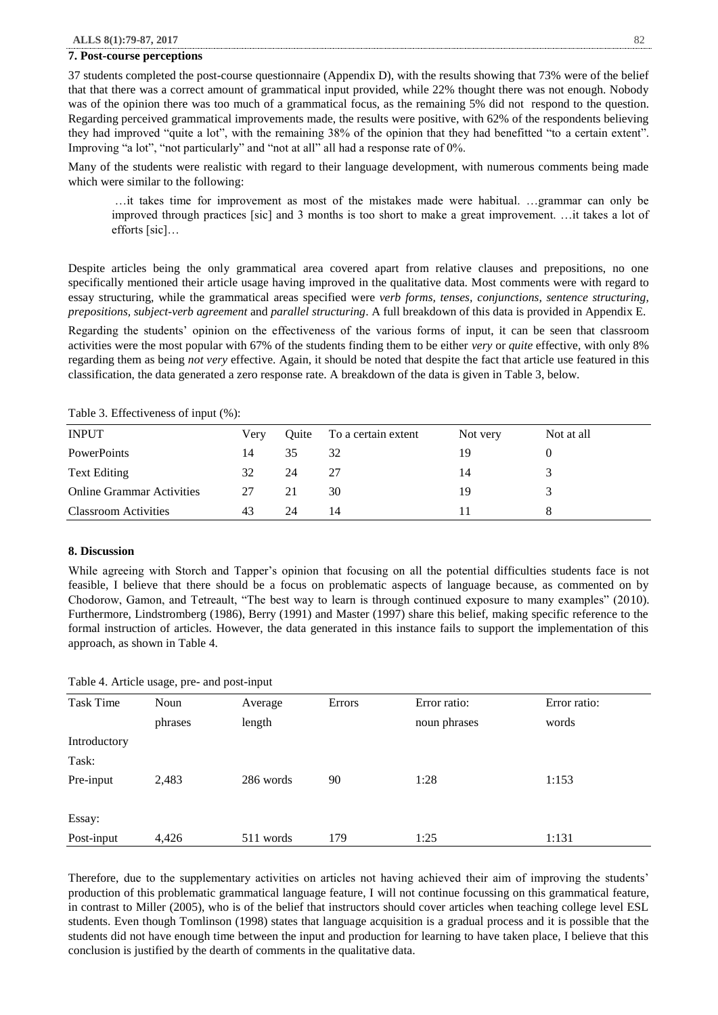#### **7. Post-course perceptions**

37 students completed the post-course questionnaire (Appendix D), with the results showing that 73% were of the belief that that there was a correct amount of grammatical input provided, while 22% thought there was not enough. Nobody was of the opinion there was too much of a grammatical focus, as the remaining 5% did not respond to the question. Regarding perceived grammatical improvements made, the results were positive, with 62% of the respondents believing they had improved "quite a lot", with the remaining 38% of the opinion that they had benefitted "to a certain extent". Improving "a lot", "not particularly" and "not at all" all had a response rate of 0%.

Many of the students were realistic with regard to their language development, with numerous comments being made which were similar to the following:

…it takes time for improvement as most of the mistakes made were habitual. …grammar can only be improved through practices [sic] and 3 months is too short to make a great improvement. …it takes a lot of efforts [sic]…

Despite articles being the only grammatical area covered apart from relative clauses and prepositions, no one specifically mentioned their article usage having improved in the qualitative data. Most comments were with regard to essay structuring, while the grammatical areas specified were *verb forms, tenses, conjunctions, sentence structuring, prepositions, subject-verb agreement* and *parallel structuring*. A full breakdown of this data is provided in Appendix E.

Regarding the students' opinion on the effectiveness of the various forms of input, it can be seen that classroom activities were the most popular with 67% of the students finding them to be either *very* or *quite* effective, with only 8% regarding them as being *not very* effective. Again, it should be noted that despite the fact that article use featured in this classification, the data generated a zero response rate. A breakdown of the data is given in Table 3, below.

| <b>INPUT</b>                     | Very | Quite | To a certain extent | Not very | Not at all |
|----------------------------------|------|-------|---------------------|----------|------------|
| <b>PowerPoints</b>               | 14   | 35    | 32                  | 19       |            |
| <b>Text Editing</b>              | 32   | 24    | 27                  | 14       |            |
| <b>Online Grammar Activities</b> | 27   | 21    | 30                  | 19       |            |
| <b>Classroom Activities</b>      | 43   | 24    | 14                  |          |            |

Table 3. Effectiveness of input (%):

# **8. Discussion**

While agreeing with Storch and Tapper's opinion that focusing on all the potential difficulties students face is not feasible, I believe that there should be a focus on problematic aspects of language because, as commented on by Chodorow, Gamon, and Tetreault, "The best way to learn is through continued exposure to many examples" (2010). Furthermore, Lindstromberg (1986), Berry (1991) and Master (1997) share this belief, making specific reference to the formal instruction of articles. However, the data generated in this instance fails to support the implementation of this approach, as shown in Table 4.

| Table 4. Article usage, pre- and post-input |  |  |  |  |
|---------------------------------------------|--|--|--|--|
|---------------------------------------------|--|--|--|--|

| <b>Task Time</b> | Noun    | Average   | Errors | Error ratio: | Error ratio: |
|------------------|---------|-----------|--------|--------------|--------------|
|                  | phrases | length    |        | noun phrases | words        |
| Introductory     |         |           |        |              |              |
| Task:            |         |           |        |              |              |
| Pre-input        | 2,483   | 286 words | 90     | 1:28         | 1:153        |
| Essay:           |         |           |        |              |              |
| Post-input       | 4,426   | 511 words | 179    | 1:25         | 1:131        |

Therefore, due to the supplementary activities on articles not having achieved their aim of improving the students' production of this problematic grammatical language feature, I will not continue focussing on this grammatical feature, in contrast to Miller (2005), who is of the belief that instructors should cover articles when teaching college level ESL students. Even though Tomlinson (1998) states that language acquisition is a gradual process and it is possible that the students did not have enough time between the input and production for learning to have taken place, I believe that this conclusion is justified by the dearth of comments in the qualitative data.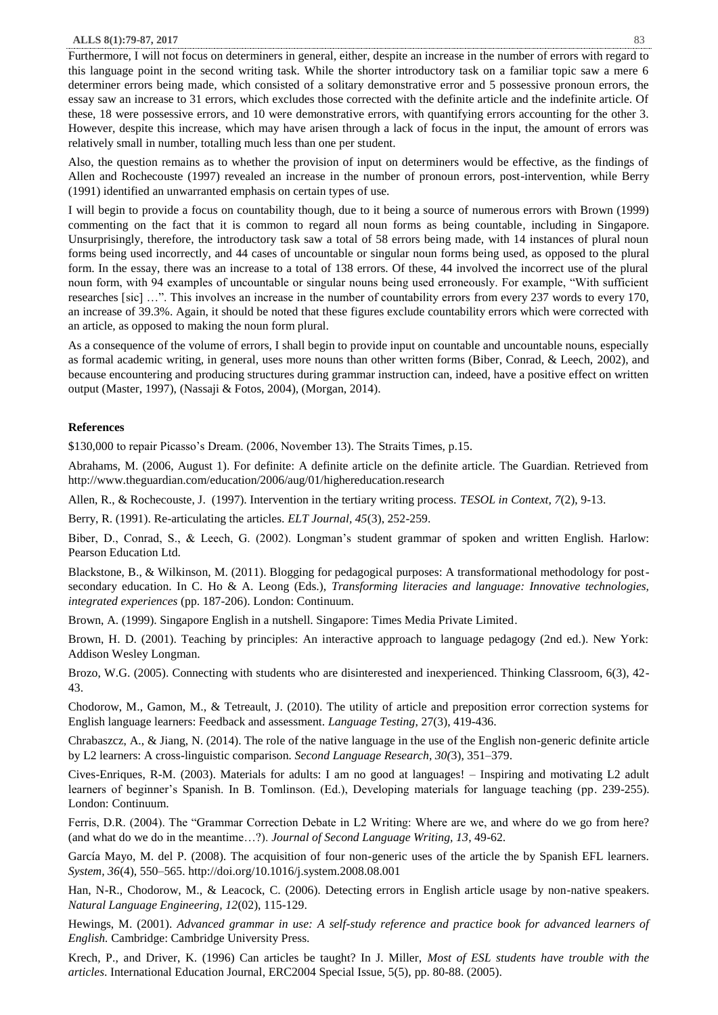#### **ALLS 8(1):79-87, 2017** 83

Furthermore, I will not focus on determiners in general, either, despite an increase in the number of errors with regard to this language point in the second writing task. While the shorter introductory task on a familiar topic saw a mere 6 determiner errors being made, which consisted of a solitary demonstrative error and 5 possessive pronoun errors, the essay saw an increase to 31 errors, which excludes those corrected with the definite article and the indefinite article. Of these, 18 were possessive errors, and 10 were demonstrative errors, with quantifying errors accounting for the other 3. However, despite this increase, which may have arisen through a lack of focus in the input, the amount of errors was relatively small in number, totalling much less than one per student.

Also, the question remains as to whether the provision of input on determiners would be effective, as the findings of Allen and Rochecouste (1997) revealed an increase in the number of pronoun errors, post-intervention, while Berry (1991) identified an unwarranted emphasis on certain types of use.

I will begin to provide a focus on countability though, due to it being a source of numerous errors with Brown (1999) commenting on the fact that it is common to regard all noun forms as being countable, including in Singapore. Unsurprisingly, therefore, the introductory task saw a total of 58 errors being made, with 14 instances of plural noun forms being used incorrectly, and 44 cases of uncountable or singular noun forms being used, as opposed to the plural form. In the essay, there was an increase to a total of 138 errors. Of these, 44 involved the incorrect use of the plural noun form, with 94 examples of uncountable or singular nouns being used erroneously. For example, "With sufficient researches [sic] …". This involves an increase in the number of countability errors from every 237 words to every 170, an increase of 39.3%. Again, it should be noted that these figures exclude countability errors which were corrected with an article, as opposed to making the noun form plural.

As a consequence of the volume of errors, I shall begin to provide input on countable and uncountable nouns, especially as formal academic writing, in general, uses more nouns than other written forms (Biber, Conrad, & Leech, 2002), and because encountering and producing structures during grammar instruction can, indeed, have a positive effect on written output (Master, 1997), (Nassaji & Fotos, 2004), (Morgan, 2014).

## **References**

\$130,000 to repair Picasso's Dream. (2006, November 13). The Straits Times, p.15.

Abrahams, M. (2006, August 1). For definite: A definite article on the definite article. The Guardian. Retrieved from <http://www.theguardian.com/education/2006/aug/01/highereducation.research>

Allen, R., & Rochecouste, J. (1997). Intervention in the tertiary writing process. *TESOL in Context, 7*(2), 9-13.

Berry, R. (1991). Re-articulating the articles. *ELT Journal, 45*(3), 252-259.

Biber, D., Conrad, S., & Leech, G. (2002). Longman's student grammar of spoken and written English. Harlow: Pearson Education Ltd.

Blackstone, B., & Wilkinson, M. (2011). Blogging for pedagogical purposes: A transformational methodology for postsecondary education. In C. Ho & A. Leong (Eds.), *Transforming literacies and language: Innovative technologies, integrated experiences* (pp. 187-206). London: Continuum.

Brown, A. (1999). Singapore English in a nutshell. Singapore: Times Media Private Limited.

Brown, H. D. (2001). Teaching by principles: An interactive approach to language pedagogy (2nd ed.). New York: Addison Wesley Longman.

Brozo, W.G. (2005). Connecting with students who are disinterested and inexperienced. Thinking Classroom, 6(3), 42- 43.

Chodorow, M., Gamon, M., & Tetreault, J. (2010). The utility of article and preposition error correction systems for English language learners: Feedback and assessment. *Language Testing*, 27(3), 419-436.

Chrabaszcz, A., & Jiang, N. (2014). The role of the native language in the use of the English non-generic definite article by L2 learners: A cross-linguistic comparison*. Second Language Research, 30(*3), 351–379.

Cives-Enriques, R-M. (2003). Materials for adults: I am no good at languages! – Inspiring and motivating L2 adult learners of beginner's Spanish. In B. Tomlinson. (Ed.), Developing materials for language teaching (pp. 239-255). London: Continuum.

Ferris, D.R. (2004). The "Grammar Correction Debate in L2 Writing: Where are we, and where do we go from here? (and what do we do in the meantime…?). *Journal of Second Language Writing, 13*, 49-62.

García Mayo, M. del P. (2008). The acquisition of four non-generic uses of the article the by Spanish EFL learners. *System, 36*(4), 550–565.<http://doi.org/10.1016/j.system.2008.08.001>

Han, N-R., Chodorow, M., & Leacock, C. (2006). Detecting errors in English article usage by non-native speakers. *Natural Language Engineering, 12*(02), 115-129.

Hewings, M. (2001). *Advanced grammar in use: A self-study reference and practice book for advanced learners of English.* Cambridge: Cambridge University Press.

Krech, P., and Driver, K. (1996) Can articles be taught? In J. Miller, *Most of ESL students have trouble with the articles*. International Education Journal, ERC2004 Special Issue, 5(5), pp. 80-88. (2005).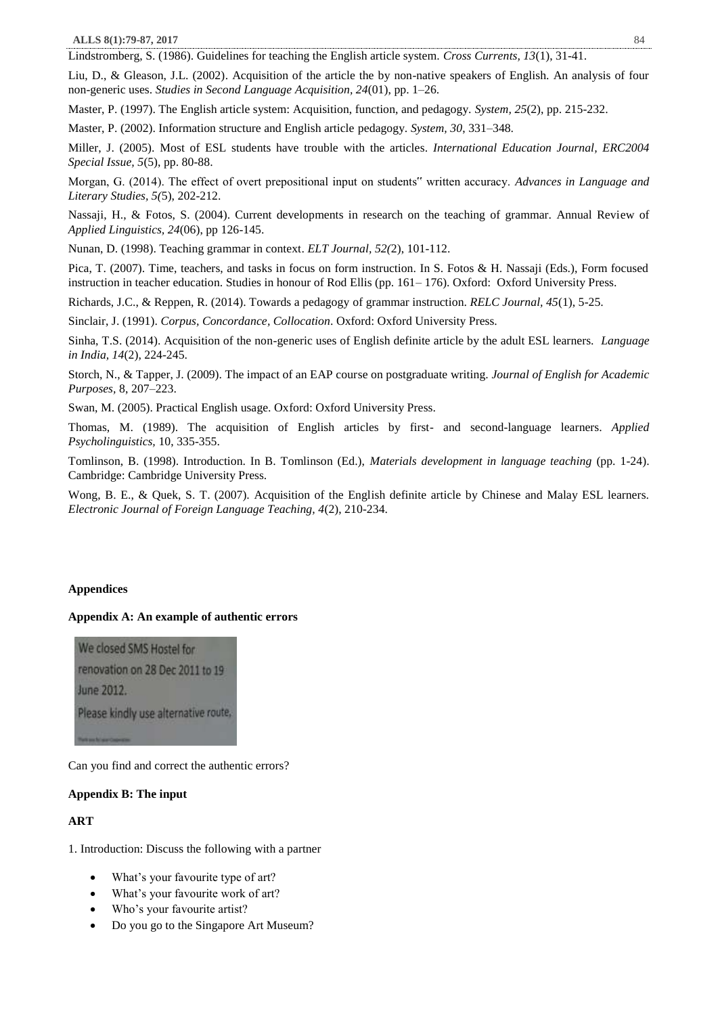Lindstromberg, S. (1986). Guidelines for teaching the English article system. *Cross Currents, 13*(1), 31-41.

Liu, D., & Gleason, J.L. (2002). Acquisition of the article the by non-native speakers of English. An analysis of four non-generic uses. *Studies in Second Language Acquisition, 24*(01), pp. 1–26.

Master, P. (1997). The English article system: Acquisition, function, and pedagogy. *System, 25*(2), pp. 215-232.

Master, P. (2002). Information structure and English article pedagogy. *System, 30*, 331–348.

Miller, J. (2005). Most of ESL students have trouble with the articles. *International Education Journal, ERC2004 Special Issue, 5*(5), pp. 80-88.

Morgan, G. (2014). The effect of overt prepositional input on students" written accuracy. *Advances in Language and Literary Studies, 5(*5), 202-212.

Nassaji, H., & Fotos, S. (2004). Current developments in research on the teaching of grammar. Annual Review of *Applied Linguistics, 24*(06), pp 126-145.

Nunan, D. (1998). Teaching grammar in context. *ELT Journal, 52(*2), 101-112.

Pica, T. (2007). Time, teachers, and tasks in focus on form instruction. In S. Fotos & H. Nassaji (Eds.), Form focused instruction in teacher education. Studies in honour of Rod Ellis (pp. 161– 176). Oxford: Oxford University Press.

Richards, J.C., & Reppen, R. (2014). Towards a pedagogy of grammar instruction. *RELC Journal, 45*(1), 5-25.

Sinclair, J. (1991). *Corpus, Concordance, Collocation*. Oxford: Oxford University Press.

Sinha, T.S. (2014). Acquisition of the non-generic uses of English definite article by the adult ESL learners. *Language in India, 14*(2), 224-245.

Storch, N., & Tapper, J. (2009). The impact of an EAP course on postgraduate writing. *Journal of English for Academic Purposes,* 8, 207–223.

Swan, M. (2005). Practical English usage. Oxford: Oxford University Press.

Thomas, M. (1989). The acquisition of English articles by first- and second-language learners. *Applied Psycholinguistics,* 10, 335-355.

Tomlinson, B. (1998). Introduction. In B. Tomlinson (Ed.), *Materials development in language teaching* (pp. 1-24). Cambridge: Cambridge University Press.

Wong, B. E., & Quek, S. T. (2007). Acquisition of the English definite article by Chinese and Malay ESL learners. *Electronic Journal of Foreign Language Teaching, 4*(2), 210-234.

## **Appendices**

#### **Appendix A: An example of authentic errors**

We closed SMS Hostel for renovation on 28 Dec 2011 to 19 June 2012. Please kindly use alternative route,

Can you find and correct the authentic errors?

#### **Appendix B: The input**

## **ART**

1. Introduction: Discuss the following with a partner

- What's your favourite type of art?
- What's your favourite work of art?
- Who's your favourite artist?
- Do you go to the Singapore Art Museum?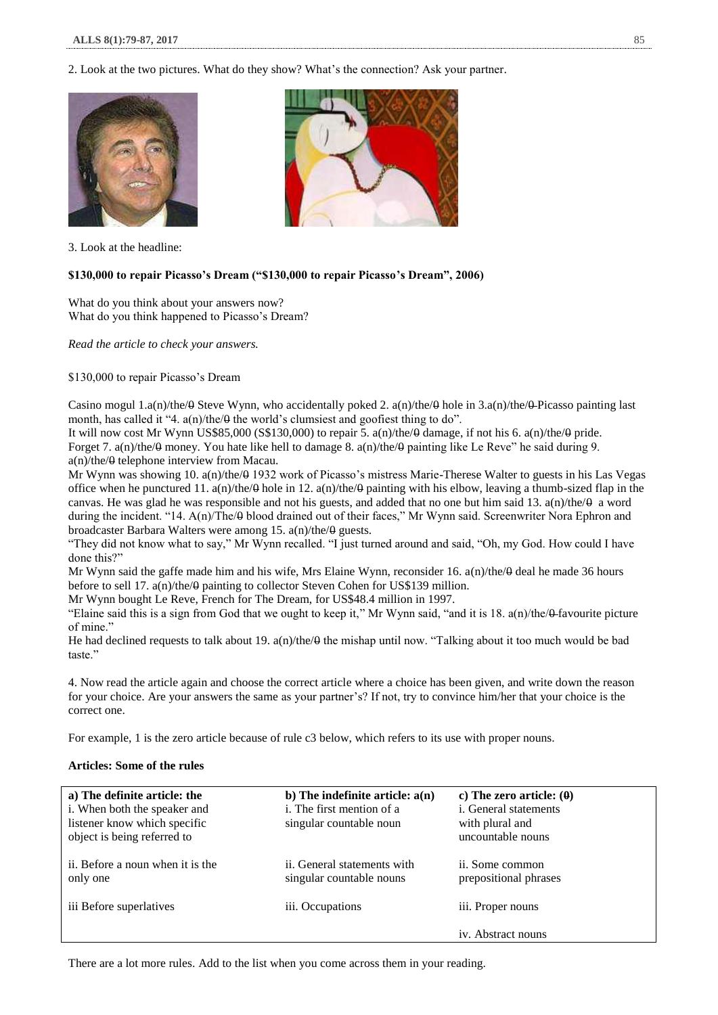2. Look at the two pictures. What do they show? What's the connection? Ask your partner.





3. Look at the headline:

## **\$130,000 to repair Picasso's Dream ("\$130,000 to repair Picasso's Dream", 2006)**

What do you think about your answers now? What do you think happened to Picasso's Dream?

*Read the article to check your answers.* 

#### \$130,000 to repair Picasso's Dream

Casino mogul 1.a(n)/the/ $\theta$  Steve Wynn, who accidentally poked 2. a(n)/the/ $\theta$  hole in 3.a(n)/the/ $\theta$ -Picasso painting last month, has called it "4.  $a(n)/the/θ$  the world's clumsiest and goofiest thing to do".

It will now cost Mr Wynn US\$85,000 (S\$130,000) to repair 5. a(n)/the/0 damage, if not his 6. a(n)/the/0 pride. Forget 7. a(n)/the/ $\theta$  money. You hate like hell to damage 8. a(n)/the/ $\theta$  painting like Le Reve" he said during 9. a(n)/the/0 telephone interview from Macau.

Mr Wynn was showing 10. a(n)/the/0 1932 work of Picasso's mistress Marie-Therese Walter to guests in his Las Vegas office when he punctured 11.  $a(n)/the/θ$  hole in 12.  $a(n)/the/θ$  painting with his elbow, leaving a thumb-sized flap in the canvas. He was glad he was responsible and not his guests, and added that no one but him said 13. a(n)/the/ $\theta$  a word during the incident. "14. A(n)/The/ $\theta$  blood drained out of their faces," Mr Wynn said. Screenwriter Nora Ephron and broadcaster Barbara Walters were among 15.  $a(n)/the/\theta$  guests.

"They did not know what to say," Mr Wynn recalled. "I just turned around and said, "Oh, my God. How could I have done this?"

Mr Wynn said the gaffe made him and his wife, Mrs Elaine Wynn, reconsider 16. a(n)/the/0 deal he made 36 hours before to sell 17. a(n)/the/ $\theta$  painting to collector Steven Cohen for US\$139 million.

Mr Wynn bought Le Reve, French for The Dream, for US\$48.4 million in 1997.

"Elaine said this is a sign from God that we ought to keep it," Mr Wynn said, "and it is  $18$ .  $a(n)/the/0$ -favourite picture of mine."

He had declined requests to talk about 19.  $a(n)/the/θ$  the mishap until now. "Talking about it too much would be bad taste."

4. Now read the article again and choose the correct article where a choice has been given, and write down the reason for your choice. Are your answers the same as your partner's? If not, try to convince him/her that your choice is the correct one.

For example, 1 is the zero article because of rule c3 below, which refers to its use with proper nouns.

# **Articles: Some of the rules**

| a) The definite article: the<br>i. When both the speaker and<br>listener know which specific<br>object is being referred to | b) The indefinite article: $a(n)$<br>i. The first mention of a<br>singular countable noun | c) The zero article: $(0)$<br><i>i</i> . General statements<br>with plural and<br>uncountable nouns |
|-----------------------------------------------------------------------------------------------------------------------------|-------------------------------------------------------------------------------------------|-----------------------------------------------------------------------------------------------------|
| ii. Before a noun when it is the<br>only one                                                                                | ii. General statements with<br>singular countable nouns                                   | ii. Some common<br>prepositional phrases                                                            |
| iii Before superlatives                                                                                                     | iii. Occupations                                                                          | iii. Proper nouns                                                                                   |
|                                                                                                                             |                                                                                           | iv. Abstract nouns                                                                                  |

There are a lot more rules. Add to the list when you come across them in your reading.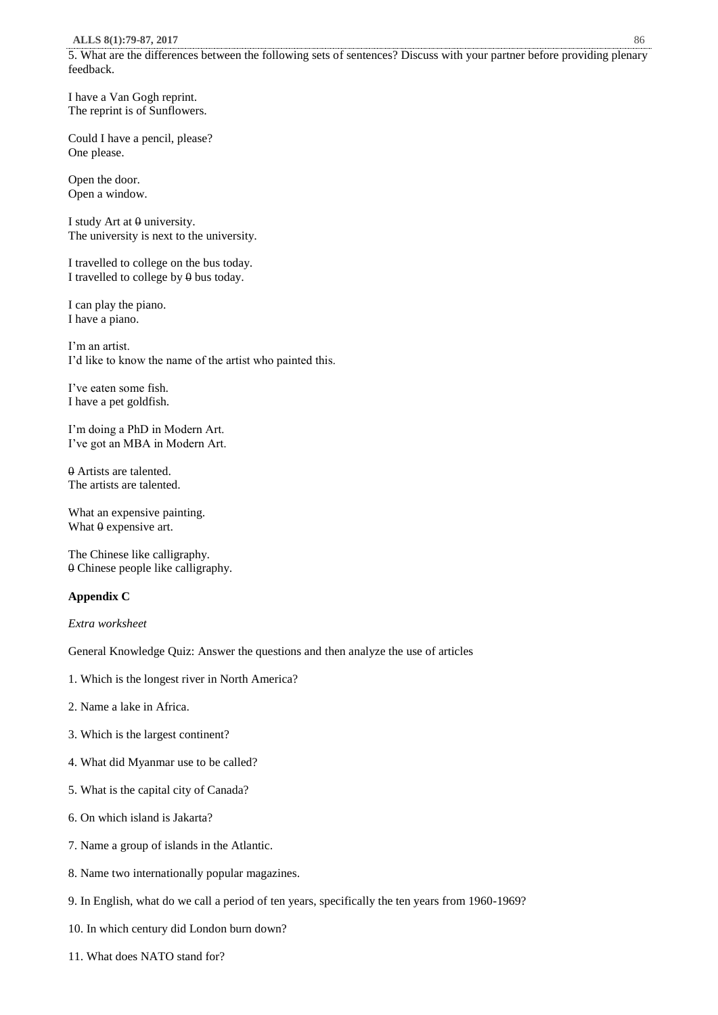5. What are the differences between the following sets of sentences? Discuss with your partner before providing plenary feedback.

I have a Van Gogh reprint. The reprint is of Sunflowers.

Could I have a pencil, please? One please.

Open the door. Open a window.

I study Art at  $\theta$  university. The university is next to the university.

I travelled to college on the bus today. I travelled to college by  $\theta$  bus today.

I can play the piano. I have a piano.

I'm an artist. I'd like to know the name of the artist who painted this.

I've eaten some fish. I have a pet goldfish.

I'm doing a PhD in Modern Art. I've got an MBA in Modern Art.

0 Artists are talented. The artists are talented.

What an expensive painting. What  $\theta$  expensive art.

The Chinese like calligraphy. 0 Chinese people like calligraphy.

## **Appendix C**

*Extra worksheet* 

General Knowledge Quiz: Answer the questions and then analyze the use of articles

- 1. Which is the longest river in North America?
- 2. Name a lake in Africa.
- 3. Which is the largest continent?
- 4. What did Myanmar use to be called?
- 5. What is the capital city of Canada?
- 6. On which island is Jakarta?
- 7. Name a group of islands in the Atlantic.
- 8. Name two internationally popular magazines.
- 9. In English, what do we call a period of ten years, specifically the ten years from 1960-1969?
- 10. In which century did London burn down?
- 11. What does NATO stand for?